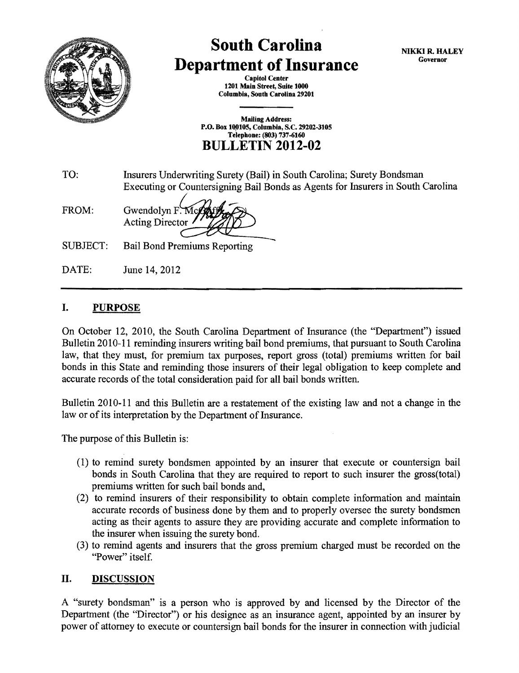

## **South Carolina Department of Insurance**

NIKKI R. HALEY Governor

Capitol Center 1201 Main Street, Suite 1000 Columbia, South Carolina 29201

Mailing Address: P.O. Box 10,0105, Columbia, S.C. 29202-3105 Telephone: (803) 737-6160 **BULLETIN 2012-02** 

TO: Insurers Underwriting Surety (Bail) in South Carolina; Surety Bondsman Executing or Countersigning Bail Bonds as Agents for Insurers in South Carolina

FROM: Gwendolyn F. M Acting Director~

SUBJECT: Bail Bond Premiums Reporting

DATE: June 14, 2012

## I. PURPOSE

On October 12, 2010, the South Carolina Department of Insurance (the "Department") issued Bulletin 2010-11 reminding insurers writing bail bond premiums, that pursuant to South Carolina law, that they must, for premium tax purposes, report gross (total) premiums written for bail bonds in this State and reminding those insurers of their legal obligation to keep complete and accurate records of the total consideration paid for all bail bonds written.

Bulletin 2010-11 and this Bulletin are a restatement of the existing law and not a change in the law or of its interpretation by the Department of Insurance.

The purpose of this Bulletin is:

- (1) to remind surety bondsmen appointed by an insurer that execute or countersign bail bonds in South Carolina that they are required to report to such insurer the gross(total) premiums written for such bail bonds and,
- (2) to remind insurers of their responsibility to obtain complete information and maintain accurate records of business done by them and to properly oversee the surety bondsmen acting as their agents to assure they are providing accurate and complete information to the insurer when issuing the surety bond.
- (3) to remind agents and insurers that the gross premium charged must be recorded on the "Power" itself.

## II. DISCUSSION

A "surety bondsman" is a person who is approved by and licensed by the Director of the Department (the "Director") or his designee as an insurance agent, appointed by an insurer by power of attorney to execute or countersign bail bonds for the insurer in connection with judicial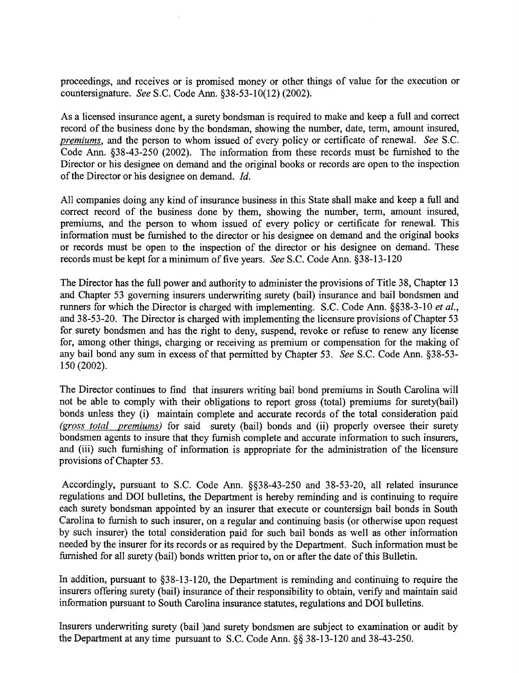proceedings, and receives or is promised money or other things of value for the execution or countersignature. *See* S.C. Code Ann. §38-53-10(12) (2002).

As a licensed insurance agent, a surety bondsman is required to make and keep a full and correct record of the business done by the bondsman, showing the number, date, term, amount insured, *premiums,* and the person to whom issued of every policy or certificate of renewal. *See* S.C. Code Ann. §38-43-250 (2002). The information from these records must be furnished to the Director or his designee on demand and the original books or records are open to the inspection of the Director or his designee on demand. *!d.* 

All companies doing any kind of insurance business in this State shall make and keep a full and correct record of the business done by them, showing the number, term, amount insured, premiums, and the person to whom issued of every policy or certificate for renewal. This information must be furnished to the director or his designee on demand and the original books or records must be open to the inspection of the director or his designee on demand. These records must be kept for a minimum of five years. *See* S.C. Code Ann. §38-13-120

The Director has the full power and authority to administer the provisions of Title 38, Chapter 13 and Chapter 53 governing insurers underwriting surety (bail) insurance and bail bondsmen and runners for which the Director is charged with implementing. S.C. Code Ann. §§38-3-10 *et al.,*  and 38-53-20. The Director is charged with implementing the licensure provisions of Chapter 53 for surety bondsmen and has the right to deny, suspend, revoke or refuse to renew any license for, among other things, charging or receiving as premium or compensation for the making of any bail bond any sum in excess of that permitted by Chapter 53. *See* S.C. Code Ann. §38-53- 150 (2002).

The Director continues to find that insurers writing bail bond premiums in South Carolina will not be able to comply with their obligations to report gross (total) premiums for surety(bail) bonds unless they (i) maintain complete and accurate records of the total consideration paid *(gross total premiums)* for said surety *(bail)* bonds and *(ii)* properly oversee their surety bondsmen agents to insure that they furnish complete and accurate information to such insurers, and (iii) such furnishing of information is appropriate for the administration of the licensure provisions of Chapter 53.

Accordingly, pursuant to S.C. Code Ann. §§38-43-250 and 38-53-20, all related insurance regulations and DOl bulletins, the Department is hereby reminding and is continuing to require each surety bondsman appointed by an insurer that execute or countersign bail bonds in South Carolina to furnish to such insurer, on a regular and continuing basis (or otherwise upon request by such insurer) the total consideration paid for such bail bonds as well as other information needed by the insurer for its records or as required by the Department. Such information must be furnished for all surety (bail) bonds written prior to, on or after the date of this Bulletin.

In addition, pursuant to §38-13-120, the Department is reminding and continuing to require the insurers offering surety (bail) insurance of their responsibility to obtain, verify and maintain said information pursuant to South Carolina insurance statutes, regulations and DOl bulletins.

Insurers underwriting surety (bail )and surety bondsmen are subject to examination or audit by the Department at any time pursuant to S.C. Code Ann.§§ 38-13-120 and 38-43-250.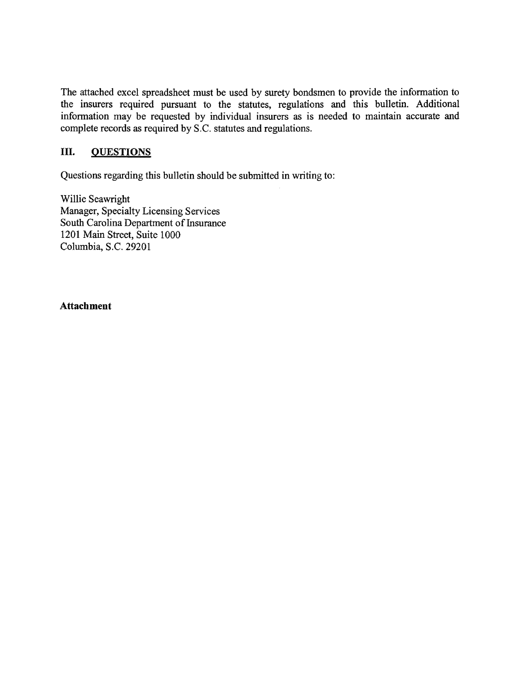The attached excel spreadsheet must be used by surety bondsmen to provide the information to the insurers required pursuant to the statutes, regulations and this bulletin. Additional information may be requested by individual insurers as is needed to maintain accurate and complete records as required by S.C. statutes and regulations.

## III. **QUESTIONS**

Questions regarding this bulletin should be submitted in writing to:

Willie Seawright Manager, Specialty Licensing Services South Carolina Department of Insurance 1201 Main Street, Suite 1000 Columbia, S.C. 29201

**Attachment**